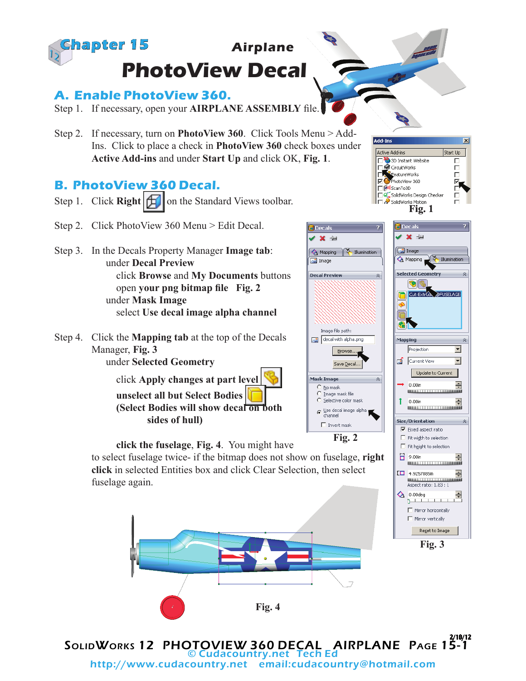

## **A. Enable PhotoView 360.**

Step 1. If necessary, open your **AIRPLANE ASSEMBLY** file.

Step 2. If necessary, turn on **PhotoView 360**. Click Tools Menu > Add-Ins. Click to place a check in **PhotoView 360** check boxes under **Active Add-ins** and under **Start Up** and click OK, **Fig. 1**.

## **B. PhotoView 360 Decal.**

- Step 1. Click **Right**  $\left| \bigoplus \right|$  on the Standard Views toolbar.
- Step 2. Click PhotoView 360 Menu > Edit Decal.
- Step 3. In the Decals Property Manager **Image tab**: under **Decal Preview** click **Browse** and **My Documents** buttons open **your png bitmap file Fig. 2** under **Mask Image** select **Use decal image alpha channel**
- Step 4. Click the **Mapping tab** at the top of the Decals Manager, **Fig. 3**

under **Selected Geometry**

fuselage again.

click **Apply changes at part level unselect all but Select Bodies (Select Bodies will show decal on both sides of hull)**

**click the fuselage**, **Fig. 4**. You might have

**click** in selected Entities box and click Clear Selection, then select



Active Add-ins

3<sup>3</sup> 3D Instant Website<br>
<u>Els</u> CircuitWorks



 $\overline{\mathbf{x}}$ 

Start Up



SolidWorks 12 PHOTOVIEW 360 DECAL AIRPLANE Page 15-1 2/18/12 © Cudacountry.net Tech E http://www.cudacountry.net email:cudacountry@hotmail.com

**Fig. 4**